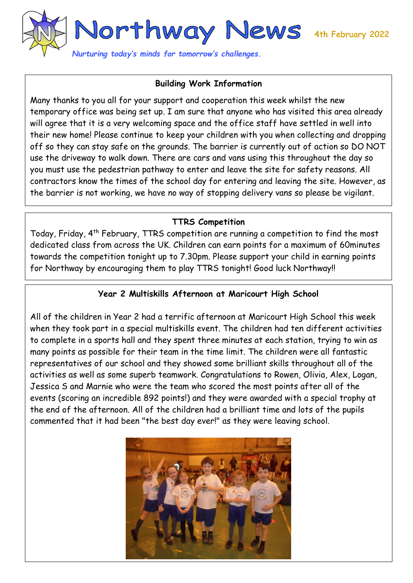

## **Building Work Information**

Many thanks to you all for your support and cooperation this week whilst the new temporary office was being set up. I am sure that anyone who has visited this area already will agree that it is a very welcoming space and the office staff have settled in well into their new home! Please continue to keep your children with you when collecting and dropping off so they can stay safe on the grounds. The barrier is currently out of action so DO NOT use the driveway to walk down. There are cars and vans using this throughout the day so you must use the pedestrian pathway to enter and leave the site for safety reasons. All contractors know the times of the school day for entering and leaving the site. However, as the barrier is not working, we have no way of stopping delivery vans so please be vigilant.

## **TTRS Competition**

Today, Friday, 4<sup>th</sup> February, TTRS competition are running a competition to find the most dedicated class from across the UK. Children can earn points for a maximum of 60minutes towards the competition tonight up to 7.30pm. Please support your child in earning points for Northway by encouraging them to play TTRS tonight! Good luck Northway!!

## **Year 2 Multiskills Afternoon at Maricourt High School**

All of the children in Year 2 had a terrific afternoon at Maricourt High School this week when they took part in a special multiskills event. The children had ten different activities to complete in a sports hall and they spent three minutes at each station, trying to win as many points as possible for their team in the time limit. The children were all fantastic representatives of our school and they showed some brilliant skills throughout all of the activities as well as some superb teamwork. Congratulations to Rowen, Olivia, Alex, Logan, Jessica S and Marnie who were the team who scored the most points after all of the events (scoring an incredible 892 points!) and they were awarded with a special trophy at the end of the afternoon. All of the children had a brilliant time and lots of the pupils commented that it had been "the best day ever!" as they were leaving school.